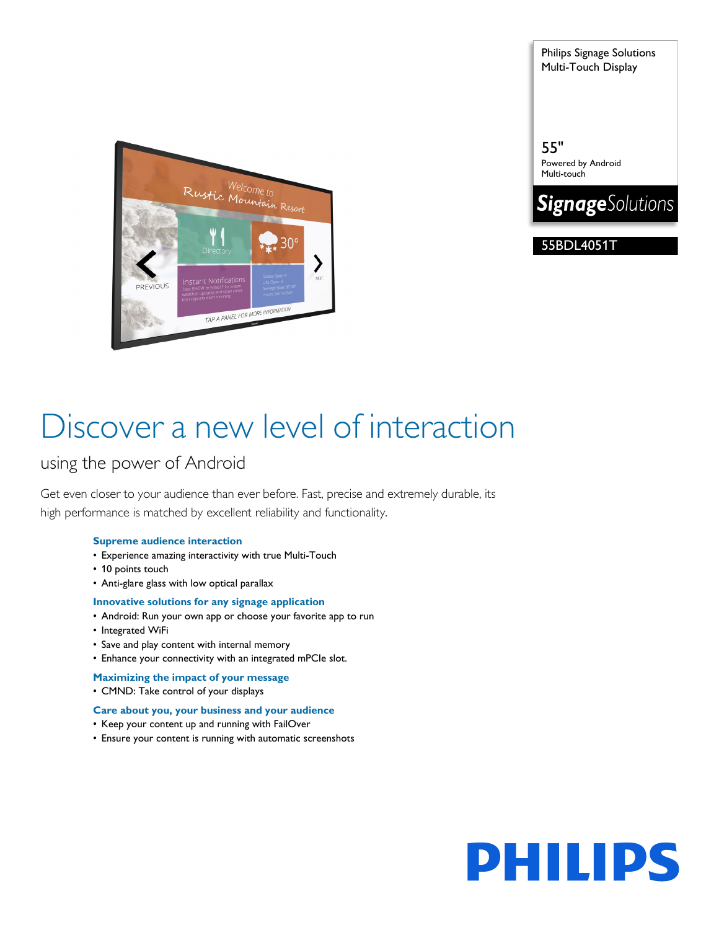Philips Signage Solutions Multi-Touch Display

55"

Powered by Android Multi-touch

**SignageSolutions** 

55BDL4051T

Welcome to<br>Rustic Mountain Resort  $\bm{\lambda}$ PREVIOUS TAP A PANEL FOR MORE INFORMATION

# Discover a new level of interaction

### using the power of Android

Get even closer to your audience than ever before. Fast, precise and extremely durable, its high performance is matched by excellent reliability and functionality.

### **Supreme audience interaction**

- Experience amazing interactivity with true Multi-Touch
- 10 points touch
- Anti-glare glass with low optical parallax

#### **Innovative solutions for any signage application**

- Android: Run your own app or choose your favorite app to run
- Integrated WiFi
- Save and play content with internal memory
- Enhance your connectivity with an integrated mPCIe slot.
- **Maximizing the impact of your message**
- CMND: Take control of your displays

#### **Care about you, your business and your audience**

- Keep your content up and running with FailOver
- Ensure your content is running with automatic screenshots

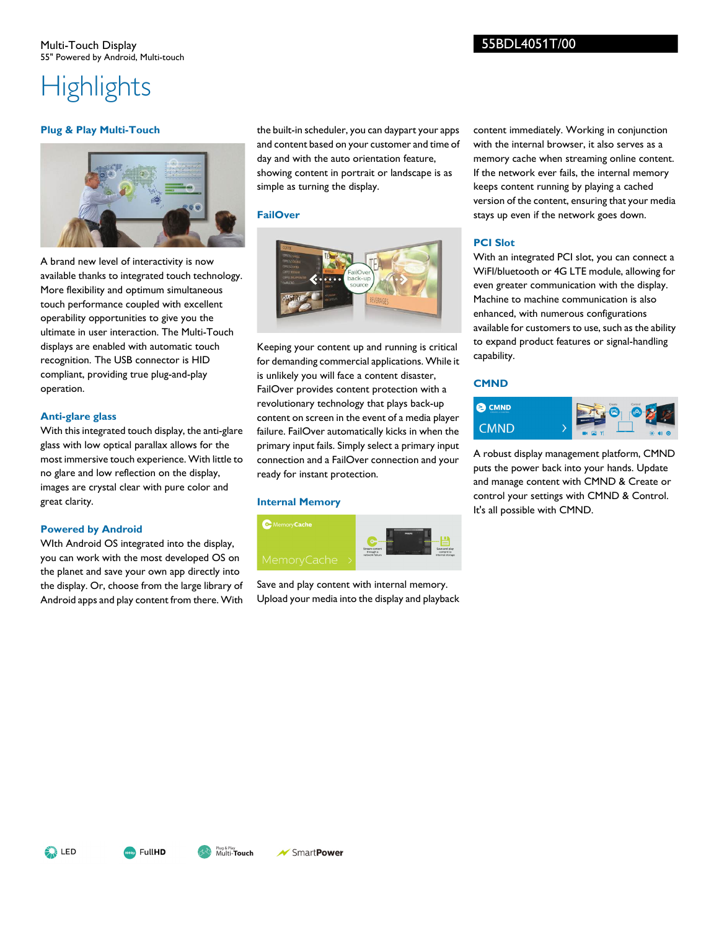# **Highlights**

#### **Plug & Play Multi-Touch**



A brand new level of interactivity is now available thanks to integrated touch technology. More flexibility and optimum simultaneous touch performance coupled with excellent operability opportunities to give you the ultimate in user interaction. The Multi-Touch displays are enabled with automatic touch recognition. The USB connector is HID compliant, providing true plug-and-play operation.

#### **Anti-glare glass**

With this integrated touch display, the anti-glare glass with low optical parallax allows for the most immersive touch experience. With little to no glare and low reflection on the display, images are crystal clear with pure color and great clarity.

#### **Powered by Android**

WIth Android OS integrated into the display, you can work with the most developed OS on the planet and save your own app directly into the display. Or, choose from the large library of Android apps and play content from there. With

the built-in scheduler, you can daypart your apps and content based on your customer and time of day and with the auto orientation feature, showing content in portrait or landscape is as simple as turning the display.

#### **FailOver**



Keeping your content up and running is critical for demanding commercial applications. While it is unlikely you will face a content disaster, FailOver provides content protection with a revolutionary technology that plays back-up content on screen in the event of a media player failure. FailOver automatically kicks in when the primary input fails. Simply select a primary input connection and a FailOver connection and your ready for instant protection.

#### **Internal Memory**



Save and play content with internal memory. Upload your media into the display and playback content immediately. Working in conjunction with the internal browser, it also serves as a memory cache when streaming online content. If the network ever fails, the internal memory keeps content running by playing a cached version of the content, ensuring that your media stays up even if the network goes down.

#### **PCI Slot**

With an integrated PCI slot, you can connect a WiFI/bluetooth or 4G LTE module, allowing for even greater communication with the display. Machine to machine communication is also enhanced, with numerous configurations available for customers to use, such as the ability to expand product features or signal-handling capability.

#### **CMND**



A robust display management platform, CMND puts the power back into your hands. Update and manage content with CMND & Create or control your settings with CMND & Control. It's all possible with CMND.

**A** LED



SmartPower

Multi-**Touch** Plug & Play